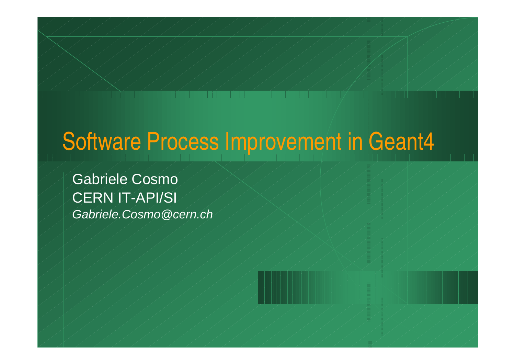# Software Process Improvement in Geant4

Gabriele Cosmo CERN IT-API/SIGabriele.Cosmo@cern.ch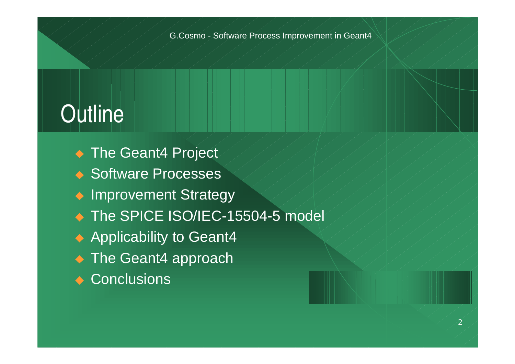G.Cosmo - Software Process Improvement in Geant4

## **Outline**

- The Geant4 Project
- ◆ Software Processes
- Improvement Strategy
- The SPICE ISO/IEC-15504-5 model
- $\leftrightarrow$  Applicability to Geant4
- The Geant4 approach
- ◆ Conclusions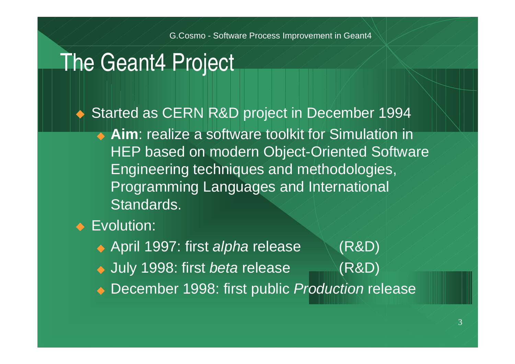## The Geant4 Project

◆ Started as CERN R&D project in December 1994

◆ **Aim**: realize a software toolkit for Simulation in HEP based on modern Object-Oriented SoftwareEngineering techniques and methodologies,Programming Languages and InternationalStandards.

 $\blacklozenge$  Evolution:

- $\bullet$  April 1997: first *alpha* release  $\qquad \qquad \mathsf{(R\&D)}$
- ◆ July 1998: first *beta* release (R&D)

◆ December 1998: first public *Production* release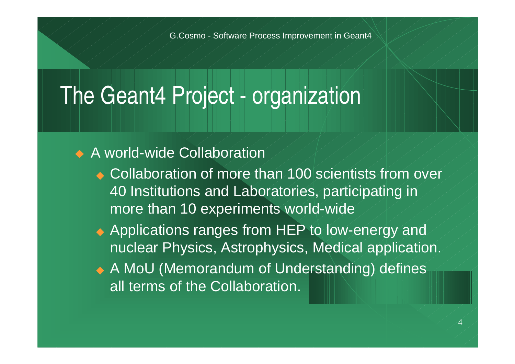## The Geant4 Project - organization

- ◆ A world-wide Collaboration
	- ◆ Collaboration of more than 100 scientists from over 40 Institutions and Laboratories, participating inmore than 10 experiments world-wide
	- ◆ Applications ranges from HEP to low-energy and nuclear Physics, Astrophysics, Medical application.
	- ◆ A MoU (Memorandum of Understanding) defines all terms of the Collaboration.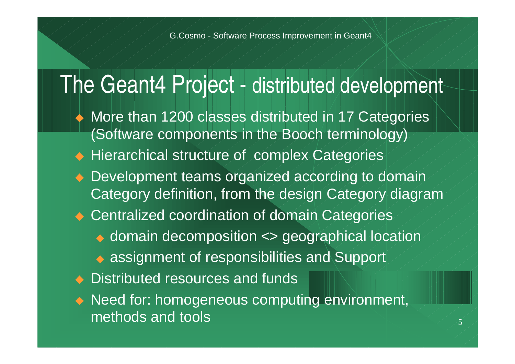## The Geant4 Project - distributed development

- ◆ More than 1200 classes distributed in 17 Categories (Software components in the Booch terminology)
- **Hierarchical structure of complex Categories**
- Development teams organized according to domain Category definition, from the design Category diagram
- ◆ Centralized coordination of domain Categories
	- ◆ domain decomposition <> geographical location
	- ◆ assignment of responsibilities and Support
- $\bullet$  Distributed resources and funds
- Need for: homogeneous computing environment, methods and tools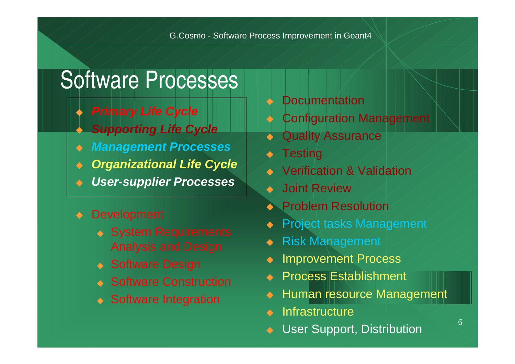## Software Processes

- u **Primary Life Cycle**
- **Supporting Life Cycle**
- ◆ Management Processes
- $\blacklozenge$ **Organizational Life Cycle**
- $\blacklozenge$ **User-supplier Processes**
- $\Leftrightarrow$  Development
	- ◆ System Requirements Analysis and Design
	- ◆ Software Design
	- ◆ Software Construction
	- ◆ Software Integration
- $\blacklozenge$ **Documentation**
- $\blacklozenge$ Configuration Management
- $\blacklozenge$ **Quality Assurance**
- $\blacklozenge$ **Testing**
- $\blacklozenge$ Verification & Validation
- $\leftrightarrow$  Joint Review
- ◆ Problem Resolution
- ◆ Project tasks Management
- $\blacklozenge$  Risk Management
- $\blacklozenge$ Improvement Process
- $\blacklozenge$ Process Establishment
- $\blacklozenge$ Human resource Management

6

- $\blacklozenge$ **Infrastructure**
- $\blacklozenge$ User Support, Distribution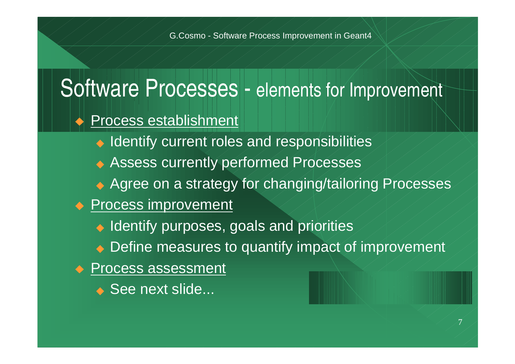## Software Processes - elements for Improvement

- ◆ Process establishment
	- ◆ Identify current roles and responsibilities
	- ◆ Assess currently performed Processes
	- ◆ Agree on a strategy for changing/tailoring Processes
- ◆ <u>Process improvement</u>
	- ◆ Identify purposes, goals and priorities
	- ◆ Define measures to quantify impact of improvement
- ◆ Process assessment
	- ◆ See next slide...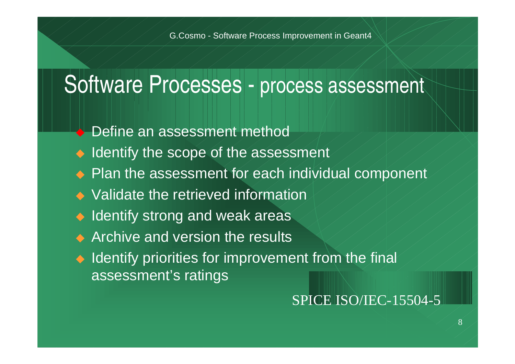## Software Processes - process assessment

- ◆ Define an assessment method
- $\bullet$  Identify the scope of the assessment
- $\bullet$  Plan the assessment for each individual component
- $\bullet$  Validate the retrieved information
- $\bullet$  Identify strong and weak areas
- $\triangle$  Archive and version the results
- $\bullet$  Identify priorities for improvement from the final assessment's ratings

#### SPICE ISO/IEC-15504-5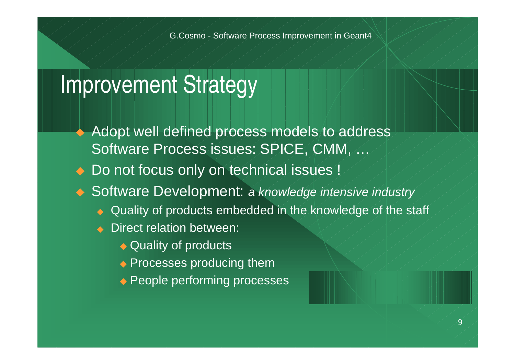## Improvement Strategy

- $\blacklozenge$ Adopt well defined process models to address Software Process issues: SPICE, CMM, …
- Do not focus only on technical issues !
- Software Development: a knowledge intensive industry
	- ◆ Quality of products embedded in the knowledge of the staff
	- ◆ Direct relation between:
		- ◆ Quality of products
		- $\blacklozenge$  Processes producing them
		- $\blacklozenge$  People performing processes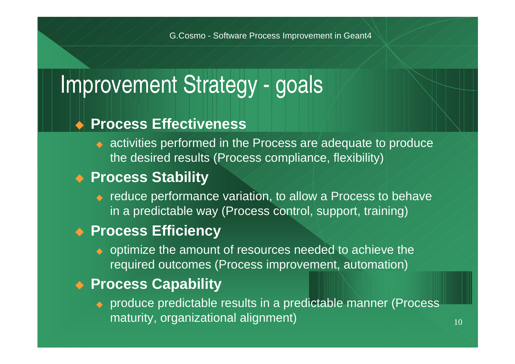## Improvement Strategy - goals

#### ◆ Process Effectiveness

◆ activities performed in the Process are adequate to producethe desired results (Process compliance, flexibility)

### ◆ Process Stability

◆ reduce performance variation, to allow a Process to behave in a predictable way (Process control, support, training)

#### **◆ Process Efficiency**

◆ optimize the amount of resources needed to achieve the required outcomes (Process improvement, automation)

### ◆ Process Capability

◆ produce predictable results in a predictable manner (Process maturity, organizational alignment)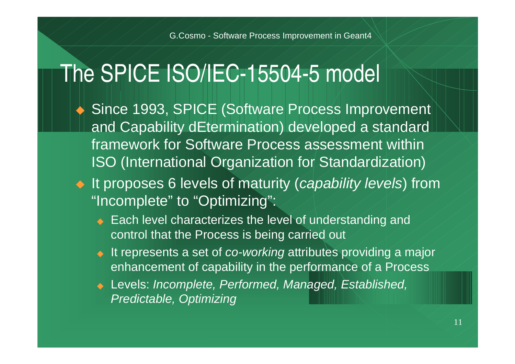## The SPICE ISO/IEC-15504-5 model

- ◆ Since 1993, SPICE (Software Process Improvement and Capability dEtermination) developed a standard framework for Software Process assessment withinISO (International Organization for Standardization)
- It proposes 6 levels of maturity (capability levels) from "Incomplete" to "Optimizing":
	- ◆ Each level characterizes the level of understanding and control that the Process is being carried out
	- ◆ It represents a set of co-working attributes providing a major enhancement of capability in the performance of a Process
	- ◆ Levels: Incomplete, Performed, Managed, Established, Predictable, Optimizing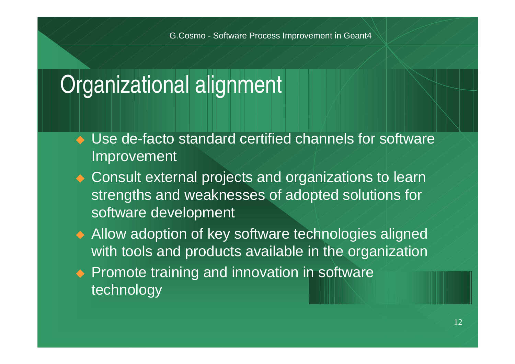## Organizational alignment

- Use de-facto standard certified channels for software Improvement
- ◆ Consult external projects and organizations to learn strengths and weaknesses of adopted solutions forsoftware development
- Allow adoption of key software technologies aligned with tools and products available in the organization
- ◆ Promote training and innovation in software technology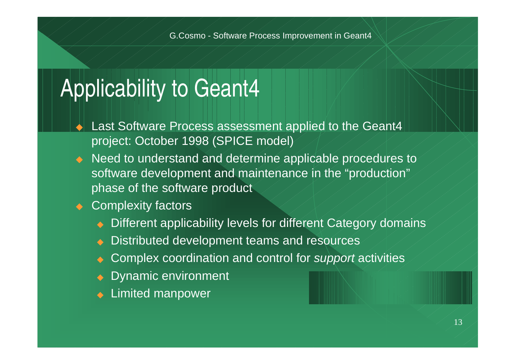## Applicability to Geant4

- $\blacklozenge$  Last Software Process assessment applied to the Geant4 project: October 1998 (SPICE model)
- Need to understand and determine applicable procedures to software development and maintenance in the "production"phase of the software product
- $\triangle$  Complexity factors
	- ◆ Different applicability levels for different Category domains
	- ◆Distributed development teams and resources
	- ◆Complex coordination and control for support activities
	- ◆Dynamic environment
	- ◆Limited manpower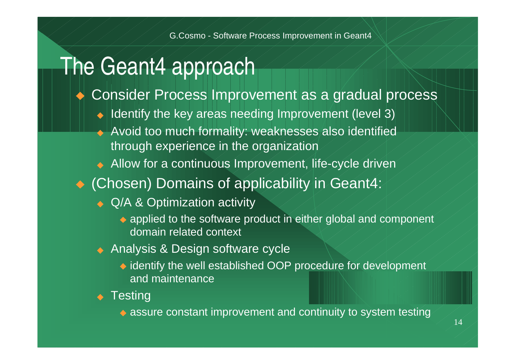## The Geant4 approach

- ◆ Consider Process Improvement as a gradual process
	- $\bullet$  Identify the key areas needing Improvement (level 3)
	- ◆ Avoid too much formality: weaknesses also identified through experience in the organization
	- ◆ Allow for a continuous Improvement, life-cycle driven
- ◆ (Chosen) Domains of applicability in Geant4:
	- ◆ Q/A & Optimization activity
		- applied to the software product in either global and component domain related context
	- ◆ Analysis & Design software cycle
		- ◆ identify the well established OOP procedure for development and maintenance
	- ◆ Testing

 $\bullet$  assure constant improvement and continuity to system testing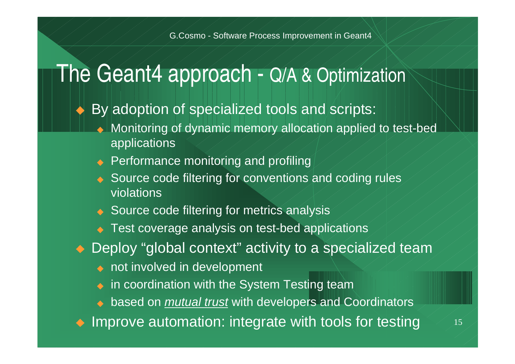## The Geant4 approach - Q/A & Optimization

- ◆ By adoption of specialized tools and scripts:
	- ◆ Monitoring of dynamic memory allocation applied to test-bed applications
	- ◆ Performance monitoring and profiling
	- ◆ Source code filtering for conventions and coding rules violations
	- ◆ Source code filtering for metrics analysis
	- ◆ Test coverage analysis on test-bed applications
- Deploy "global context" activity to a specialized team
	- ◆ not involved in development
	- $\bullet \,\,$  in coordination with the System Testing team
	- ◆ based on <u>*mutual trust*</u> with developers and Coordinators

 $\blacklozenge$  Improve automation: integrate with tools for testing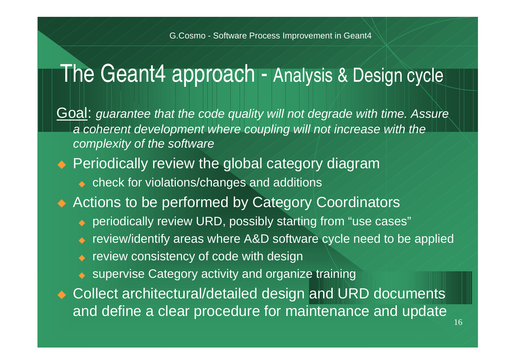## The Geant4 approach - Analysis & Design cycle

- Goal: guarantee that the code quality will not degrade with time. Assure a coherent development where coupling will not increase with thecomplexity of the software
- $\bullet$  Periodically review the global category diagram
	- ◆ check for violations/changes and additions
- ◆ Actions to be performed by Category Coordinators
	- ◆ periodically review URD, possibly starting from "use cases"
	- ◆ review/identify areas where A&D software cycle need to be applied
	- ◆ review consistency of code with design
	- ◆ supervise Category activity and organize training
- ◆ Collect architectural/detailed design and URD documents and define a clear procedure for maintenance and update

16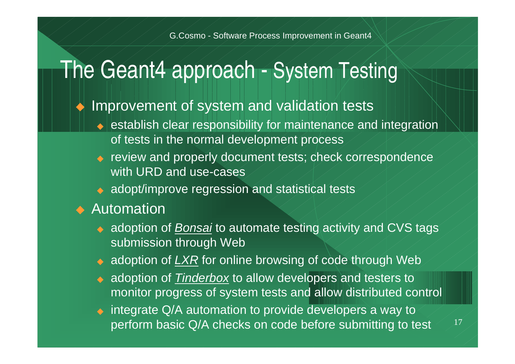## The Geant4 approach - System Testing

- $\bullet$  Improvement of system and validation tests
	- ◆ establish clear responsibility for maintenance and integration of tests in the normal development process
	- ◆ review and properly document tests; check correspondence with URD and use-cases
	- ◆ adopt/improve regression and statistical tests

#### ◆ Automation

- ◆ adoption of *Bonsai* to automate testing activity and CVS tags submission through Web
- $\bullet$  adoption of  $LXR$  for online browsing of code through Web
- adoption of **Tinderbox** to allow developers and testers to ◆monitor progress of system tests and allow distributed control
- ◆ integrate Q/A automation to provide developers a way toperform basic Q/A checks on code before submitting to test